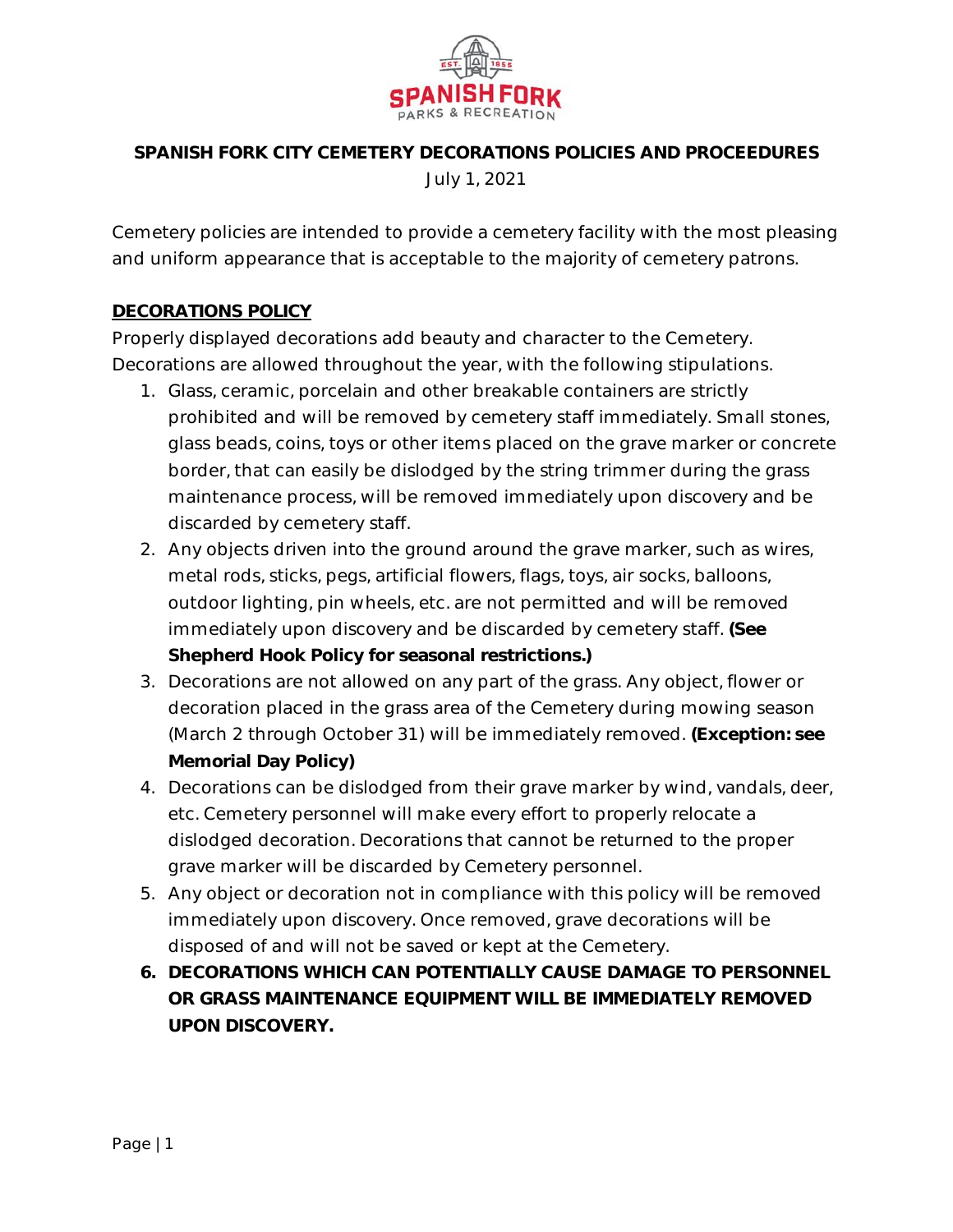

# **SPANISH FORK CITY CEMETERY DECORATIONS POLICIES AND PROCEEDURES** July 1, 2021

Cemetery policies are intended to provide a cemetery facility with the most pleasing and uniform appearance that is acceptable to the majority of cemetery patrons.

## **DECORATIONS POLICY**

Properly displayed decorations add beauty and character to the Cemetery. Decorations are allowed throughout the year, with the following stipulations.

- 1. Glass, ceramic, porcelain and other breakable containers are strictly prohibited and will be removed by cemetery staff immediately. Small stones, glass beads, coins, toys or other items placed on the grave marker or concrete border, that can easily be dislodged by the string trimmer during the grass maintenance process, will be removed immediately upon discovery and be discarded by cemetery staff.
- 2. Any objects driven into the ground around the grave marker, such as wires, metal rods, sticks, pegs, artificial flowers, flags, toys, air socks, balloons, outdoor lighting, pin wheels, etc. are not permitted and will be removed immediately upon discovery and be discarded by cemetery staff. **(See Shepherd Hook Policy for seasonal restrictions.)**
- 3. Decorations are not allowed on any part of the grass. Any object, flower or decoration placed in the grass area of the Cemetery during mowing season (March 2 through October 31) will be immediately removed. **(Exception: see Memorial Day Policy)**
- 4. Decorations can be dislodged from their grave marker by wind, vandals, deer, etc. Cemetery personnel will make every effort to properly relocate a dislodged decoration. Decorations that cannot be returned to the proper grave marker will be discarded by Cemetery personnel.
- 5. Any object or decoration not in compliance with this policy will be removed immediately upon discovery. Once removed, grave decorations will be disposed of and will not be saved or kept at the Cemetery.
- **6. DECORATIONS WHICH CAN POTENTIALLY CAUSE DAMAGE TO PERSONNEL OR GRASS MAINTENANCE EQUIPMENT WILL BE IMMEDIATELY REMOVED UPON DISCOVERY.**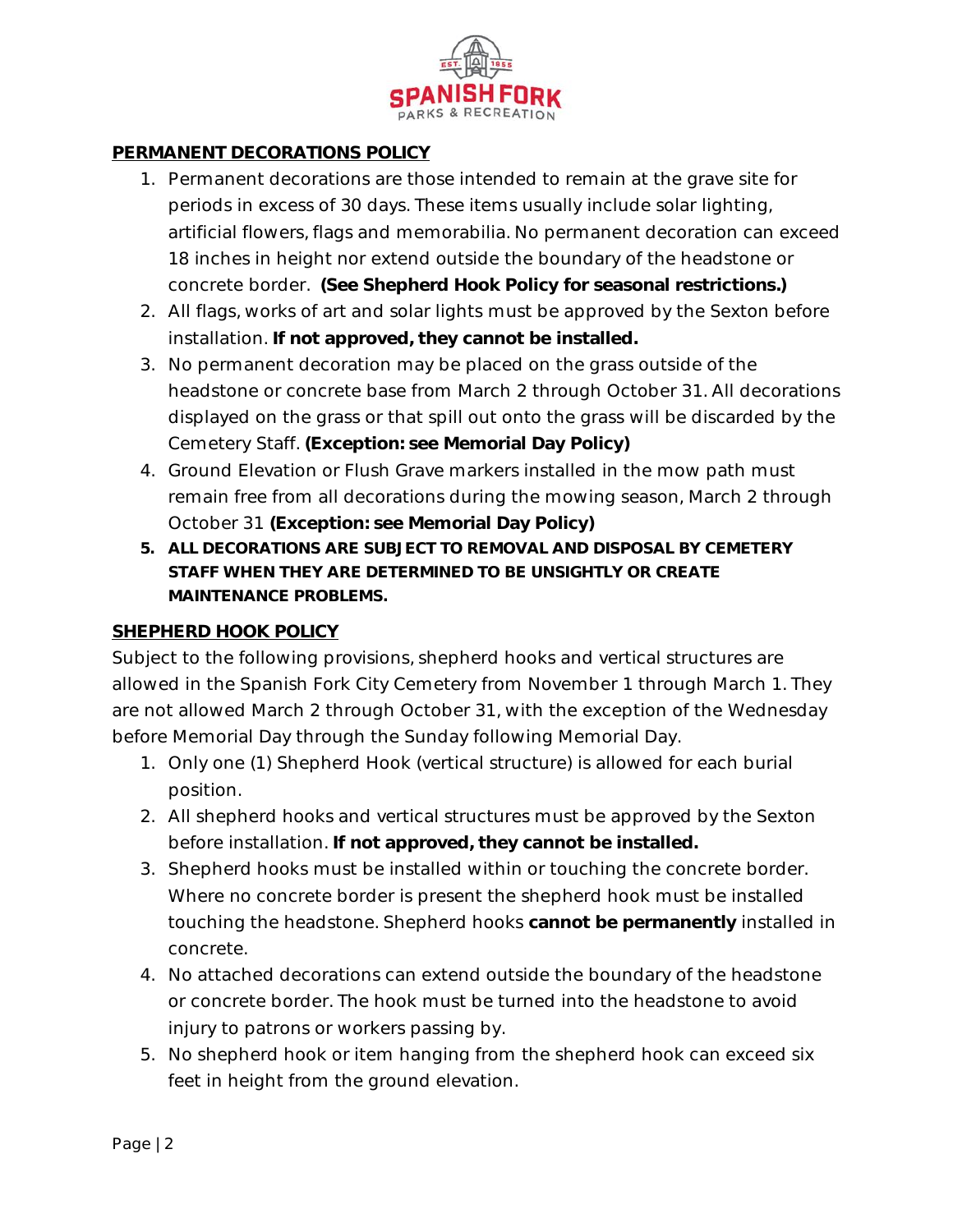

## **PERMANENT DECORATIONS POLICY**

- 1. Permanent decorations are those intended to remain at the grave site for periods in excess of 30 days. These items usually include solar lighting, artificial flowers, flags and memorabilia. No permanent decoration can exceed 18 inches in height nor extend outside the boundary of the headstone or concrete border. **(See Shepherd Hook Policy for seasonal restrictions.)**
- 2. All flags, works of art and solar lights must be approved by the Sexton before installation. **If not approved, they cannot be installed.**
- 3. No permanent decoration may be placed on the grass outside of the headstone or concrete base from March 2 through October 31. All decorations displayed on the grass or that spill out onto the grass will be discarded by the Cemetery Staff. **(Exception: see Memorial Day Policy)**
- 4. Ground Elevation or Flush Grave markers installed in the mow path must remain free from all decorations during the mowing season, March 2 through October 31 **(Exception: see Memorial Day Policy)**
- **5. ALL DECORATIONS ARE SUBJECT TO REMOVAL AND DISPOSAL BY CEMETERY STAFF WHEN THEY ARE DETERMINED TO BE UNSIGHTLY OR CREATE MAINTENANCE PROBLEMS.**

## **SHEPHERD HOOK POLICY**

Subject to the following provisions, shepherd hooks and vertical structures are allowed in the Spanish Fork City Cemetery from November 1 through March 1. They are not allowed March 2 through October 31, with the exception of the Wednesday before Memorial Day through the Sunday following Memorial Day.

- 1. Only one (1) Shepherd Hook (vertical structure) is allowed for each burial position.
- 2. All shepherd hooks and vertical structures must be approved by the Sexton before installation. **If not approved, they cannot be installed.**
- 3. Shepherd hooks must be installed within or touching the concrete border. Where no concrete border is present the shepherd hook must be installed touching the headstone. Shepherd hooks **cannot be permanently** installed in concrete.
- 4. No attached decorations can extend outside the boundary of the headstone or concrete border. The hook must be turned into the headstone to avoid injury to patrons or workers passing by.
- 5. No shepherd hook or item hanging from the shepherd hook can exceed six feet in height from the ground elevation.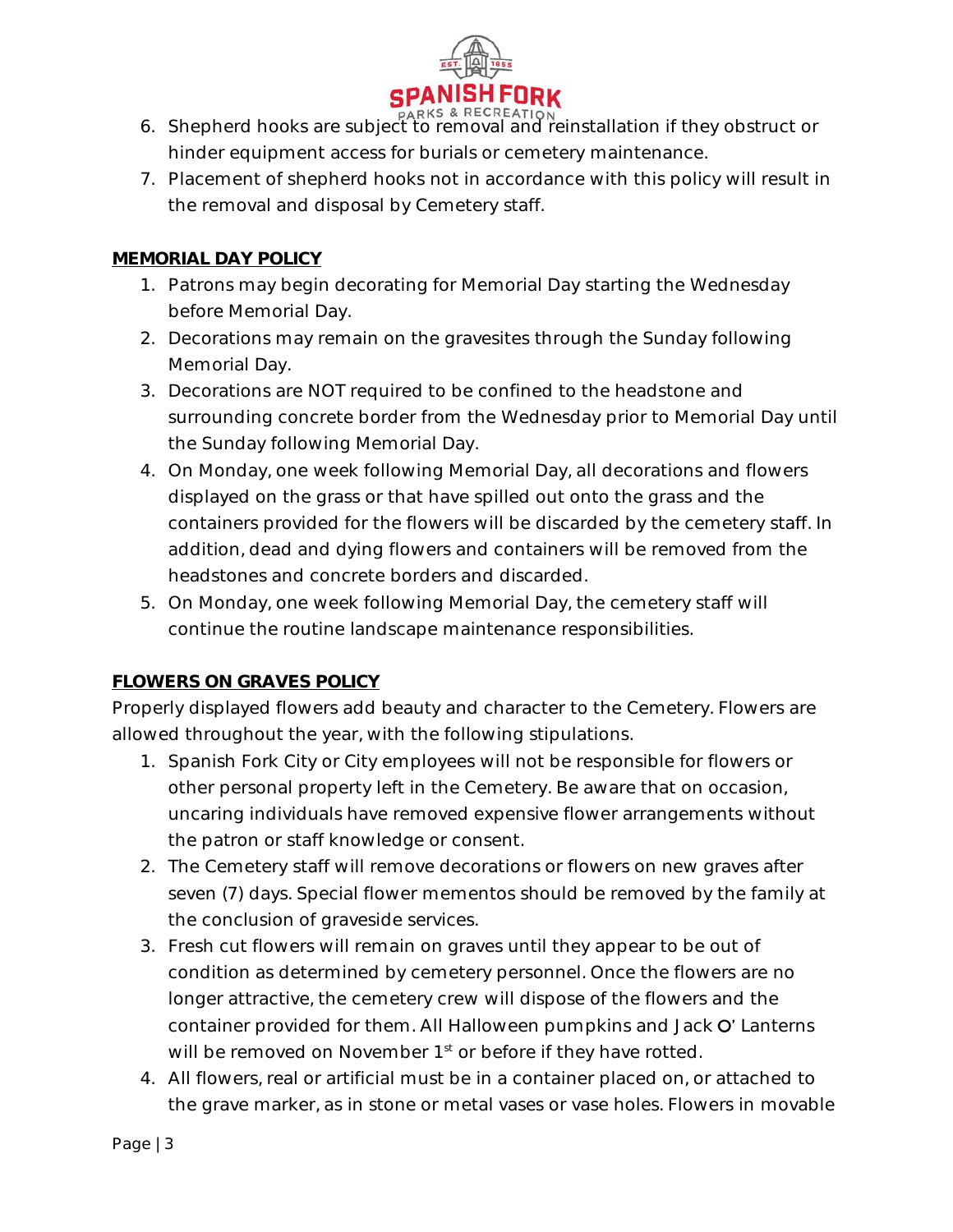

- **PARKS & RECREATION**<br>6. Shepherd hooks are subject to removal and reinstallation if they obstruct or hinder equipment access for burials or cemetery maintenance.
- 7. Placement of shepherd hooks not in accordance with this policy will result in the removal and disposal by Cemetery staff.

## **MEMORIAL DAY POLICY**

- 1. Patrons may begin decorating for Memorial Day starting the Wednesday before Memorial Day.
- 2. Decorations may remain on the gravesites through the Sunday following Memorial Day.
- 3. Decorations are NOT required to be confined to the headstone and surrounding concrete border from the Wednesday prior to Memorial Day until the Sunday following Memorial Day.
- 4. On Monday, one week following Memorial Day, all decorations and flowers displayed on the grass or that have spilled out onto the grass and the containers provided for the flowers will be discarded by the cemetery staff. In addition, dead and dying flowers and containers will be removed from the headstones and concrete borders and discarded.
- 5. On Monday, one week following Memorial Day, the cemetery staff will continue the routine landscape maintenance responsibilities.

## **FLOWERS ON GRAVES POLICY**

Properly displayed flowers add beauty and character to the Cemetery. Flowers are allowed throughout the year, with the following stipulations.

- 1. Spanish Fork City or City employees will not be responsible for flowers or other personal property left in the Cemetery. Be aware that on occasion, uncaring individuals have removed expensive flower arrangements without the patron or staff knowledge or consent.
- 2. The Cemetery staff will remove decorations or flowers on new graves after seven (7) days. Special flower mementos should be removed by the family at the conclusion of graveside services.
- 3. Fresh cut flowers will remain on graves until they appear to be out of condition as determined by cemetery personnel. Once the flowers are no longer attractive, the cemetery crew will dispose of the flowers and the container provided for them. All Halloween pumpkins and Jack O' Lanterns will be removed on November 1<sup>st</sup> or before if they have rotted.
- 4. All flowers, real or artificial must be in a container placed on, or attached to the grave marker, as in stone or metal vases or vase holes. Flowers in movable